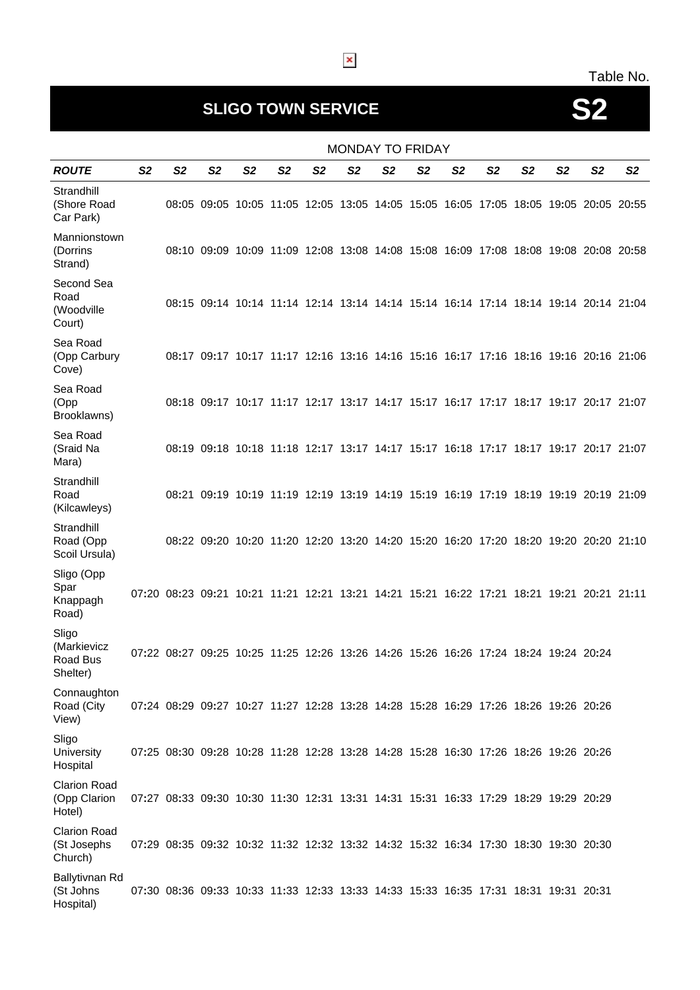#### Table No.

# **SLIGO TOWN SERVICE S2**

|                                               | <b>MONDAY TO FRIDAY</b> |                |                                                                                           |    |                |                |                |                |                |                |                |                |                |                |                |
|-----------------------------------------------|-------------------------|----------------|-------------------------------------------------------------------------------------------|----|----------------|----------------|----------------|----------------|----------------|----------------|----------------|----------------|----------------|----------------|----------------|
| <b>ROUTE</b>                                  | S <sub>2</sub>          | S <sub>2</sub> | S <sub>2</sub>                                                                            | S2 | S <sub>2</sub> | S <sub>2</sub> | S <sub>2</sub> | S <sub>2</sub> | S <sub>2</sub> | S <sub>2</sub> | S <sub>2</sub> | S <sub>2</sub> | S <sub>2</sub> | S <sub>2</sub> | S <sub>2</sub> |
| Strandhill<br>(Shore Road<br>Car Park)        |                         |                | 08:05 09:05 10:05 11:05 12:05 13:05 14:05 15:05 16:05 17:05 18:05 19:05 20:05 20:55       |    |                |                |                |                |                |                |                |                |                |                |                |
| Mannionstown<br>(Dorrins<br>Strand)           |                         |                | 08:10 09:09 10:09 11:09 12:08 13:08 14:08 15:08 16:09 17:08 18:08 19:08 20:08 20:58       |    |                |                |                |                |                |                |                |                |                |                |                |
| Second Sea<br>Road<br>(Woodville<br>Court)    |                         |                | 08:15 09:14 10:14 11:14 12:14 13:14 14:14 15:14 16:14 17:14 18:14 19:14 20:14 21:04       |    |                |                |                |                |                |                |                |                |                |                |                |
| Sea Road<br>(Opp Carbury<br>Cove)             |                         |                | 08:17 09:17 10:17 11:17 12:16 13:16 14:16 15:16 16:17 17:16 18:16 19:16 20:16 21:06       |    |                |                |                |                |                |                |                |                |                |                |                |
| Sea Road<br>(Opp<br>Brooklawns)               |                         |                | 08:18 09:17 10:17 11:17 12:17 13:17 14:17 15:17 16:17 17:17 18:17 19:17 20:17 21:07       |    |                |                |                |                |                |                |                |                |                |                |                |
| Sea Road<br>(Sraid Na<br>Mara)                |                         |                | 08:19 09:18 10:18 11:18 12:17 13:17 14:17 15:17 16:18 17:17 18:17 19:17 20:17 21:07       |    |                |                |                |                |                |                |                |                |                |                |                |
| Strandhill<br>Road<br>(Kilcawleys)            |                         |                | 08:21 09:19 10:19 11:19 12:19 13:19 14:19 15:19 16:19 17:19 18:19 19:19 20:19 21:09       |    |                |                |                |                |                |                |                |                |                |                |                |
| Strandhill<br>Road (Opp<br>Scoil Ursula)      |                         |                | 08:22 09:20 10:20 11:20 12:20 13:20 14:20 15:20 16:20 17:20 18:20 19:20 20:20 21:10       |    |                |                |                |                |                |                |                |                |                |                |                |
| Sligo (Opp<br>Spar<br>Knappagh<br>Road)       |                         |                | 07:20 08:23 09:21 10:21 11:21 12:21 13:21 14:21 15:21 16:22 17:21 18:21 19:21 20:21 21:11 |    |                |                |                |                |                |                |                |                |                |                |                |
| Sligo<br>(Markievicz<br>Road Bus<br>Shelter)  |                         |                | 07:22 08:27 09:25 10:25 11:25 12:26 13:26 14:26 15:26 16:26 17:24 18:24 19:24 20:24       |    |                |                |                |                |                |                |                |                |                |                |                |
| Connaughton<br>Road (City<br>View)            |                         |                | 07:24 08:29 09:27 10:27 11:27 12:28 13:28 14:28 15:28 16:29 17:26 18:26 19:26 20:26       |    |                |                |                |                |                |                |                |                |                |                |                |
| Sligo<br><b>University</b><br>Hospital        |                         |                | 07:25 08:30 09:28 10:28 11:28 12:28 13:28 14:28 15:28 16:30 17:26 18:26 19:26 20:26       |    |                |                |                |                |                |                |                |                |                |                |                |
| <b>Clarion Road</b><br>(Opp Clarion<br>Hotel) |                         |                | 07:27 08:33 09:30 10:30 11:30 12:31 13:31 14:31 15:31 16:33 17:29 18:29 19:29 20:29       |    |                |                |                |                |                |                |                |                |                |                |                |
| <b>Clarion Road</b><br>(St Josephs<br>Church) |                         |                | 07:29 08:35 09:32 10:32 11:32 12:32 13:32 14:32 15:32 16:34 17:30 18:30 19:30 20:30       |    |                |                |                |                |                |                |                |                |                |                |                |
| Ballytivnan Rd<br>(St Johns<br>Hospital)      |                         |                | 07:30 08:36 09:33 10:33 11:33 12:33 13:33 14:33 15:33 16:35 17:31 18:31 19:31 20:31       |    |                |                |                |                |                |                |                |                |                |                |                |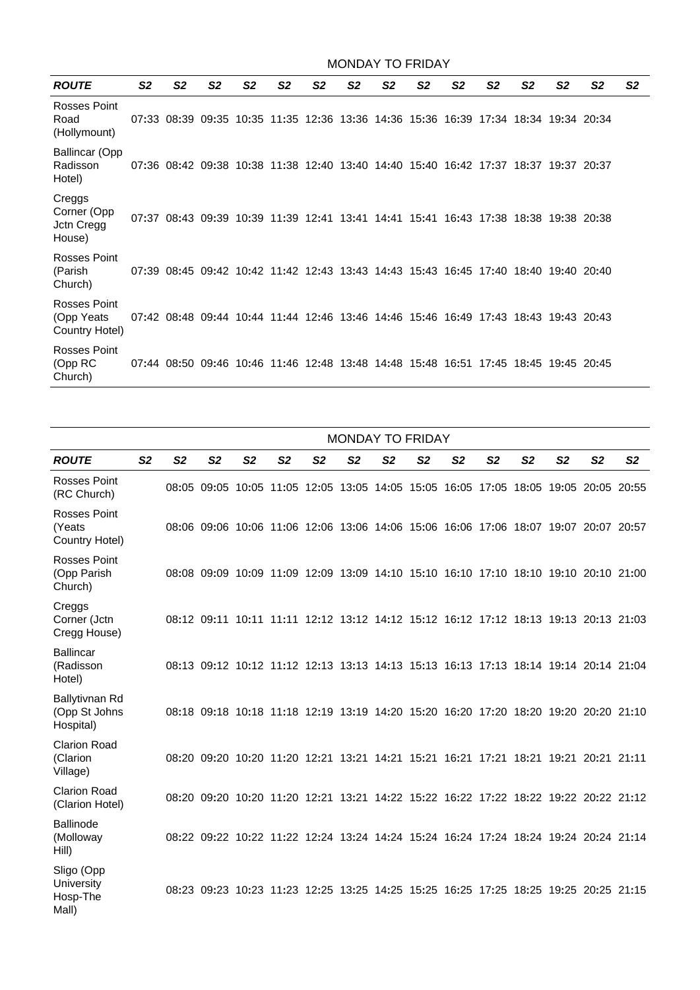| <b>MONDAY TO FRIDAY</b>                       |                |                |                |                |                |                |                |                |                |                |                |                                                                                     |                |                |                |  |  |
|-----------------------------------------------|----------------|----------------|----------------|----------------|----------------|----------------|----------------|----------------|----------------|----------------|----------------|-------------------------------------------------------------------------------------|----------------|----------------|----------------|--|--|
| <b>ROUTE</b>                                  | S <sub>2</sub> | S <sub>2</sub> | S <sub>2</sub> | S <sub>2</sub> | S <sub>2</sub> | S <sub>2</sub> | S <sub>2</sub> | S <sub>2</sub> | S <sub>2</sub> | S <sub>2</sub> | S <sub>2</sub> | S <sub>2</sub>                                                                      | S <sub>2</sub> | S <sub>2</sub> | S <sub>2</sub> |  |  |
| Rosses Point<br>Road<br>(Hollymount)          |                |                |                |                |                |                |                |                |                |                |                | 07:33 08:39 09:35 10:35 11:35 12:36 13:36 14:36 15:36 16:39 17:34 18:34 19:34 20:34 |                |                |                |  |  |
| <b>Ballincar (Opp</b><br>Radisson<br>Hotel)   |                |                |                |                |                |                |                |                |                |                |                | 07:36 08:42 09:38 10:38 11:38 12:40 13:40 14:40 15:40 16:42 17:37 18:37 19:37 20:37 |                |                |                |  |  |
| Creggs<br>Corner (Opp<br>Jctn Cregg<br>House) |                |                |                |                |                |                |                |                |                |                |                | 07:37 08:43 09:39 10:39 11:39 12:41 13:41 14:41 15:41 16:43 17:38 18:38 19:38 20:38 |                |                |                |  |  |
| Rosses Point<br>(Parish<br>Church)            |                |                |                |                |                |                |                |                |                |                |                | 07:39 08:45 09:42 10:42 11:42 12:43 13:43 14:43 15:43 16:45 17:40 18:40 19:40 20:40 |                |                |                |  |  |
| Rosses Point<br>(Opp Yeats<br>Country Hotel)  |                |                |                |                |                |                |                |                |                |                |                | 07:42 08:48 09:44 10:44 11:44 12:46 13:46 14:46 15:46 16:49 17:43 18:43 19:43 20:43 |                |                |                |  |  |
| Rosses Point<br>(Opp RC<br>Church)            |                |                |                |                |                |                |                |                |                |                |                | 07:44 08:50 09:46 10:46 11:46 12:48 13:48 14:48 15:48 16:51 17:45 18:45 19:45 20:45 |                |                |                |  |  |

|                                                      |                | <b>MONDAY TO FRIDAY</b> |                                                                                     |                |                |                |                |                |                |                |                |                |                |                |                |
|------------------------------------------------------|----------------|-------------------------|-------------------------------------------------------------------------------------|----------------|----------------|----------------|----------------|----------------|----------------|----------------|----------------|----------------|----------------|----------------|----------------|
| <b>ROUTE</b>                                         | S <sub>2</sub> | S <sub>2</sub>          | S <sub>2</sub>                                                                      | S <sub>2</sub> | S <sub>2</sub> | S <sub>2</sub> | S <sub>2</sub> | S <sub>2</sub> | S <sub>2</sub> | S <sub>2</sub> | S <sub>2</sub> | S <sub>2</sub> | S <sub>2</sub> | S <sub>2</sub> | S <sub>2</sub> |
| Rosses Point<br>(RC Church)                          |                |                         | 08:05 09:05 10:05 11:05 12:05 13:05 14:05 15:05 16:05 17:05 18:05 19:05 20:05 20:55 |                |                |                |                |                |                |                |                |                |                |                |                |
| <b>Rosses Point</b><br>(Yeats<br>Country Hotel)      |                |                         | 08:06 09:06 10:06 11:06 12:06 13:06 14:06 15:06 16:06 17:06 18:07 19:07 20:07 20:57 |                |                |                |                |                |                |                |                |                |                |                |                |
| <b>Rosses Point</b><br>(Opp Parish<br>Church)        |                |                         | 08:08 09:09 10:09 11:09 12:09 13:09 14:10 15:10 16:10 17:10 18:10 19:10 20:10 21:00 |                |                |                |                |                |                |                |                |                |                |                |                |
| Creggs<br>Corner (Jctn<br>Cregg House)               |                |                         | 08:12 09:11 10:11 11:11 12:12 13:12 14:12 15:12 16:12 17:12 18:13 19:13 20:13 21:03 |                |                |                |                |                |                |                |                |                |                |                |                |
| <b>Ballincar</b><br>(Radisson<br>Hotel)              |                |                         | 08:13 09:12 10:12 11:12 12:13 13:13 14:13 15:13 16:13 17:13 18:14 19:14 20:14 21:04 |                |                |                |                |                |                |                |                |                |                |                |                |
| Ballytivnan Rd<br>(Opp St Johns<br>Hospital)         |                |                         | 08:18 09:18 10:18 11:18 12:19 13:19 14:20 15:20 16:20 17:20 18:20 19:20 20:20 21:10 |                |                |                |                |                |                |                |                |                |                |                |                |
| <b>Clarion Road</b><br>(Clarion<br>Village)          |                |                         | 08:20 09:20 10:20 11:20 12:21 13:21 14:21 15:21 16:21 17:21 18:21 19:21 20:21 21:11 |                |                |                |                |                |                |                |                |                |                |                |                |
| <b>Clarion Road</b><br>(Clarion Hotel)               |                |                         | 08:20 09:20 10:20 11:20 12:21 13:21 14:22 15:22 16:22 17:22 18:22 19:22 20:22 21:12 |                |                |                |                |                |                |                |                |                |                |                |                |
| <b>Ballinode</b><br>(Molloway<br>Hill)               |                |                         | 08:22 09:22 10:22 11:22 12:24 13:24 14:24 15:24 16:24 17:24 18:24 19:24 20:24 21:14 |                |                |                |                |                |                |                |                |                |                |                |                |
| Sligo (Opp<br><b>University</b><br>Hosp-The<br>Mall) |                |                         | 08:23 09:23 10:23 11:23 12:25 13:25 14:25 15:25 16:25 17:25 18:25 19:25 20:25 21:15 |                |                |                |                |                |                |                |                |                |                |                |                |